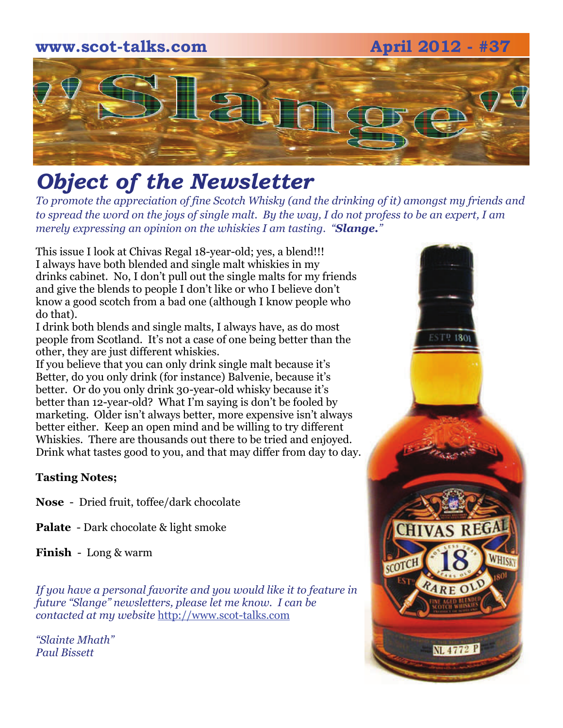# **www.scot-talks.com April 2012 - #37** 121

## *Object of the Newsletter*

*To promote the appreciation of fine Scotch Whisky (and the drinking of it) amongst my friends and to spread the word on the joys of single malt. By the way, I do not profess to be an expert, I am merely expressing an opinion on the whiskies I am tasting. "Slange."* 

This issue I look at Chivas Regal 18-year-old; yes, a blend!!! I always have both blended and single malt whiskies in my drinks cabinet. No, I don't pull out the single malts for my friends and give the blends to people I don't like or who I believe don't know a good scotch from a bad one (although I know people who do that).

I drink both blends and single malts, I always have, as do most people from Scotland. It's not a case of one being better than the other, they are just different whiskies.

If you believe that you can only drink single malt because it's Better, do you only drink (for instance) Balvenie, because it's better. Or do you only drink 30-year-old whisky because it's better than 12-year-old? What I'm saying is don't be fooled by marketing. Older isn't always better, more expensive isn't always better either. Keep an open mind and be willing to try different Whiskies. There are thousands out there to be tried and enjoyed. Drink what tastes good to you, and that may differ from day to day.

#### **Tasting Notes;**

- **Nose**  Dried fruit, toffee/dark chocolate
- **Palate**  Dark chocolate & light smoke

**Finish** - Long & warm

*If you have a personal favorite and you would like it to feature in future "Slange" newsletters, please let me know. I can be contacted at my website* [http://www.scot-talks.com](http://www.scot-talks.com/default.html)

*"Slainte Mhath" Paul Bissett*

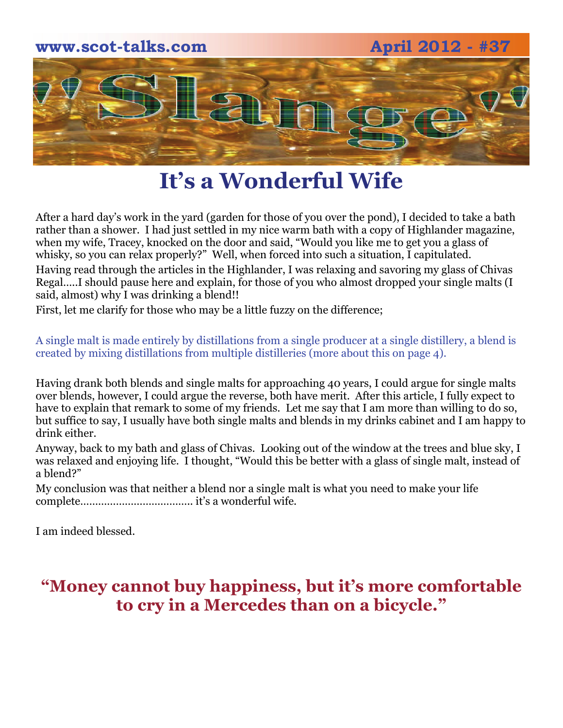

#### **It's a Wonderful Wife**

After a hard day's work in the yard (garden for those of you over the pond), I decided to take a bath rather than a shower. I had just settled in my nice warm bath with a copy of Highlander magazine, when my wife, Tracey, knocked on the door and said, "Would you like me to get you a glass of whisky, so you can relax properly?" Well, when forced into such a situation, I capitulated. Having read through the articles in the Highlander, I was relaxing and savoring my glass of Chivas Regal…..I should pause here and explain, for those of you who almost dropped your single malts (I said, almost) why I was drinking a blend!!

First, let me clarify for those who may be a little fuzzy on the difference;

A single malt is made entirely by distillations from a single producer at a single distillery, a blend is created by mixing distillations from multiple distilleries (more about this on page 4).

Having drank both blends and single malts for approaching 40 years, I could argue for single malts over blends, however, I could argue the reverse, both have merit. After this article, I fully expect to have to explain that remark to some of my friends. Let me say that I am more than willing to do so, but suffice to say, I usually have both single malts and blends in my drinks cabinet and I am happy to drink either.

Anyway, back to my bath and glass of Chivas. Looking out of the window at the trees and blue sky, I was relaxed and enjoying life. I thought, "Would this be better with a glass of single malt, instead of a blend?"

My conclusion was that neither a blend nor a single malt is what you need to make your life complete……………………………….. it's a wonderful wife.

I am indeed blessed.

#### **"Money cannot buy happiness, but it's more comfortable to cry in a Mercedes than on a bicycle."**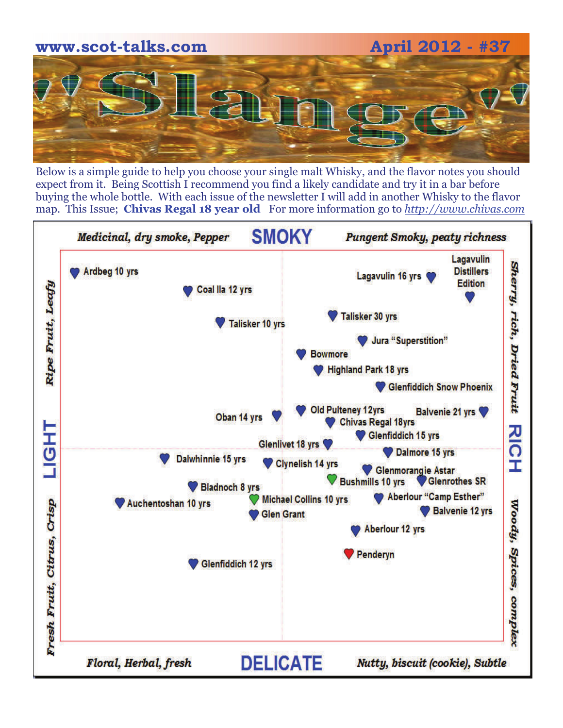

Below is a simple guide to help you choose your single malt Whisky, and the flavor notes you should expect from it. Being Scottish I recommend you find a likely candidate and try it in a bar before buying the whole bottle. With each issue of the newsletter I will add in another Whisky to the flavor map. This Issue; **Chivas Regal 18 year old** For more information go to *[http://www.chivas.com](http://www.chivas.com/en/INT/Our-Range/Chivas-18)*